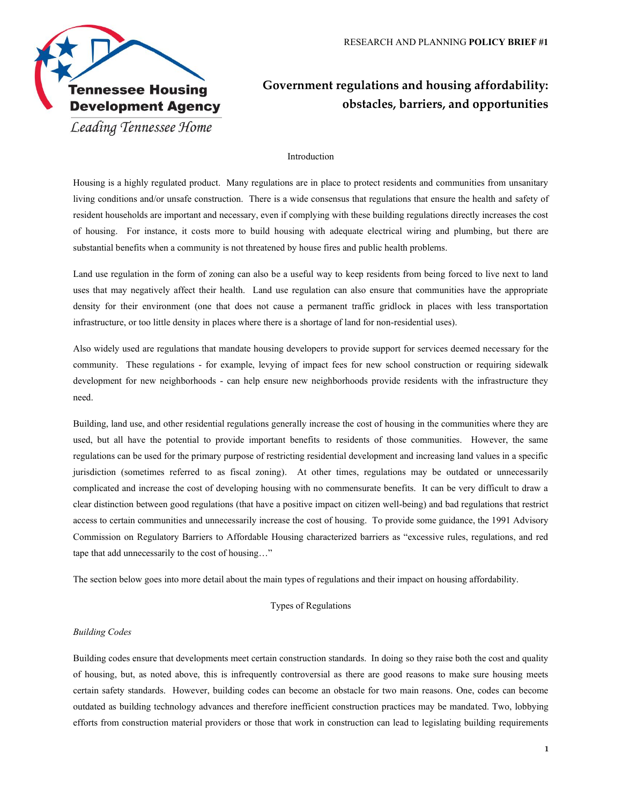

# **Government regulations and housing affordability: obstacles, barriers, and opportunities**

## Introduction

Housing is a highly regulated product. Many regulations are in place to protect residents and communities from unsanitary living conditions and/or unsafe construction. There is a wide consensus that regulations that ensure the health and safety of resident households are important and necessary, even if complying with these building regulations directly increases the cost of housing. For instance, it costs more to build housing with adequate electrical wiring and plumbing, but there are substantial benefits when a community is not threatened by house fires and public health problems.

Land use regulation in the form of zoning can also be a useful way to keep residents from being forced to live next to land uses that may negatively affect their health. Land use regulation can also ensure that communities have the appropriate density for their environment (one that does not cause a permanent traffic gridlock in places with less transportation infrastructure, or too little density in places where there is a shortage of land for non-residential uses).

Also widely used are regulations that mandate housing developers to provide support for services deemed necessary for the community. These regulations - for example, levying of impact fees for new school construction or requiring sidewalk development for new neighborhoods - can help ensure new neighborhoods provide residents with the infrastructure they need.

Building, land use, and other residential regulations generally increase the cost of housing in the communities where they are used, but all have the potential to provide important benefits to residents of those communities. However, the same regulations can be used for the primary purpose of restricting residential development and increasing land values in a specific jurisdiction (sometimes referred to as fiscal zoning). At other times, regulations may be outdated or unnecessarily complicated and increase the cost of developing housing with no commensurate benefits. It can be very difficult to draw a clear distinction between good regulations (that have a positive impact on citizen well-being) and bad regulations that restrict access to certain communities and unnecessarily increase the cost of housing. To provide some guidance, the 1991 Advisory Commission on Regulatory Barriers to Affordable Housing characterized barriers as "excessive rules, regulations, and red tape that add unnecessarily to the cost of housing…"

The section below goes into more detail about the main types of regulations and their impact on housing affordability.

### Types of Regulations

#### *Building Codes*

Building codes ensure that developments meet certain construction standards. In doing so they raise both the cost and quality of housing, but, as noted above, this is infrequently controversial as there are good reasons to make sure housing meets certain safety standards. However, building codes can become an obstacle for two main reasons. One, codes can become outdated as building technology advances and therefore inefficient construction practices may be mandated. Two, lobbying efforts from construction material providers or those that work in construction can lead to legislating building requirements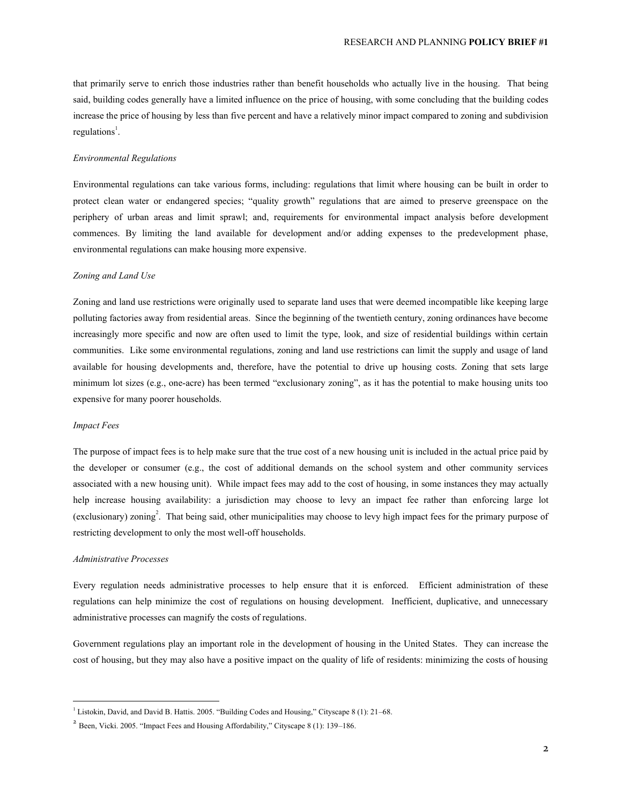that primarily serve to enrich those industries rather than benefit households who actually live in the housing. That being said, building codes generally have a limited influence on the price of housing, with some concluding that the building codes increase the price of housing by less than five percent and have a relatively minor impact compared to zoning and subdivision  $regulations<sup>1</sup>$ .

## *Environmental Regulations*

Environmental regulations can take various forms, including: regulations that limit where housing can be built in order to protect clean water or endangered species; "quality growth" regulations that are aimed to preserve greenspace on the periphery of urban areas and limit sprawl; and, requirements for environmental impact analysis before development commences. By limiting the land available for development and/or adding expenses to the predevelopment phase, environmental regulations can make housing more expensive.

#### *Zoning and Land Use*

Zoning and land use restrictions were originally used to separate land uses that were deemed incompatible like keeping large polluting factories away from residential areas. Since the beginning of the twentieth century, zoning ordinances have become increasingly more specific and now are often used to limit the type, look, and size of residential buildings within certain communities. Like some environmental regulations, zoning and land use restrictions can limit the supply and usage of land available for housing developments and, therefore, have the potential to drive up housing costs. Zoning that sets large minimum lot sizes (e.g., one-acre) has been termed "exclusionary zoning", as it has the potential to make housing units too expensive for many poorer households.

#### *Impact Fees*

The purpose of impact fees is to help make sure that the true cost of a new housing unit is included in the actual price paid by the developer or consumer (e.g., the cost of additional demands on the school system and other community services associated with a new housing unit). While impact fees may add to the cost of housing, in some instances they may actually help increase housing availability: a jurisdiction may choose to levy an impact fee rather than enforcing large lot (exclusionary) zoning<sup>2</sup>. That being said, other municipalities may choose to levy high impact fees for the primary purpose of restricting development to only the most well-off households.

## *Administrative Processes*

 $\overline{a}$ 

Every regulation needs administrative processes to help ensure that it is enforced. Efficient administration of these regulations can help minimize the cost of regulations on housing development. Inefficient, duplicative, and unnecessary administrative processes can magnify the costs of regulations.

Government regulations play an important role in the development of housing in the United States. They can increase the cost of housing, but they may also have a positive impact on the quality of life of residents: minimizing the costs of housing

<sup>&</sup>lt;sup>1</sup> Listokin, David, and David B. Hattis. 2005. "Building Codes and Housing," Cityscape 8 (1): 21-68.

 $2^{2}$  Been, Vicki. 2005. "Impact Fees and Housing Affordability," Cityscape 8 (1): 139–186.